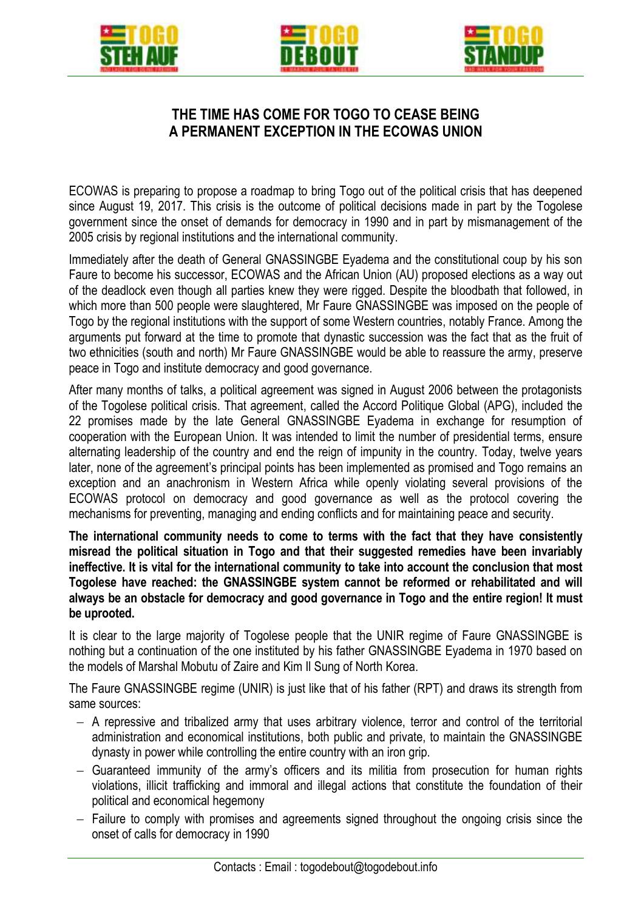

l,





## **THE TIME HAS COME FOR TOGO TO CEASE BEING A PERMANENT EXCEPTION IN THE ECOWAS UNION**

ECOWAS is preparing to propose a roadmap to bring Togo out of the political crisis that has deepened since August 19, 2017. This crisis is the outcome of political decisions made in part by the Togolese government since the onset of demands for democracy in 1990 and in part by mismanagement of the 2005 crisis by regional institutions and the international community.

Immediately after the death of General GNASSINGBE Eyadema and the constitutional coup by his son Faure to become his successor, ECOWAS and the African Union (AU) proposed elections as a way out of the deadlock even though all parties knew they were rigged. Despite the bloodbath that followed, in which more than 500 people were slaughtered, Mr Faure GNASSINGBE was imposed on the people of Togo by the regional institutions with the support of some Western countries, notably France. Among the arguments put forward at the time to promote that dynastic succession was the fact that as the fruit of two ethnicities (south and north) Mr Faure GNASSINGBE would be able to reassure the army, preserve peace in Togo and institute democracy and good governance.

After many months of talks, a political agreement was signed in August 2006 between the protagonists of the Togolese political crisis. That agreement, called the Accord Politique Global (APG), included the 22 promises made by the late General GNASSINGBE Eyadema in exchange for resumption of cooperation with the European Union. It was intended to limit the number of presidential terms, ensure alternating leadership of the country and end the reign of impunity in the country. Today, twelve years later, none of the agreement's principal points has been implemented as promised and Togo remains an exception and an anachronism in Western Africa while openly violating several provisions of the ECOWAS protocol on democracy and good governance as well as the protocol covering the mechanisms for preventing, managing and ending conflicts and for maintaining peace and security.

**The international community needs to come to terms with the fact that they have consistently misread the political situation in Togo and that their suggested remedies have been invariably ineffective. It is vital for the international community to take into account the conclusion that most Togolese have reached: the GNASSINGBE system cannot be reformed or rehabilitated and will always be an obstacle for democracy and good governance in Togo and the entire region! It must be uprooted.**

It is clear to the large majority of Togolese people that the UNIR regime of Faure GNASSINGBE is nothing but a continuation of the one instituted by his father GNASSINGBE Eyadema in 1970 based on the models of Marshal Mobutu of Zaire and Kim Il Sung of North Korea.

The Faure GNASSINGBE regime (UNIR) is just like that of his father (RPT) and draws its strength from same sources:

- A repressive and tribalized army that uses arbitrary violence, terror and control of the territorial administration and economical institutions, both public and private, to maintain the GNASSINGBE dynasty in power while controlling the entire country with an iron grip.
- Guaranteed immunity of the army's officers and its militia from prosecution for human rights violations, illicit trafficking and immoral and illegal actions that constitute the foundation of their political and economical hegemony
- $-$  Failure to comply with promises and agreements signed throughout the ongoing crisis since the onset of calls for democracy in 1990